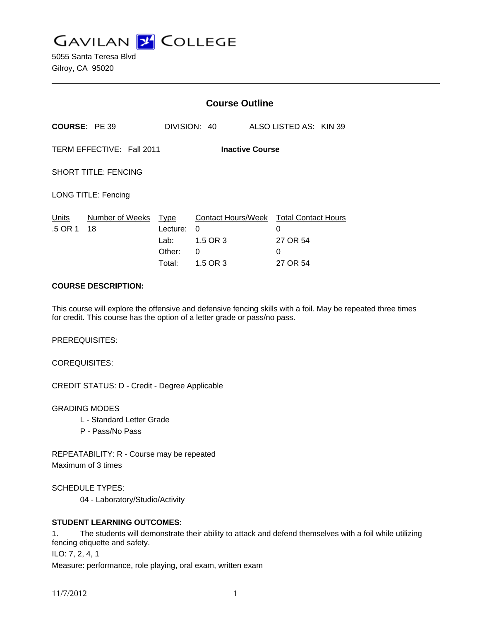

5055 Santa Teresa Blvd Gilroy, CA 95020

|                                                     |                            | <b>Course Outline</b>                |                                                                          |                                |  |  |
|-----------------------------------------------------|----------------------------|--------------------------------------|--------------------------------------------------------------------------|--------------------------------|--|--|
| <b>COURSE: PE 39</b>                                |                            |                                      | DIVISION: 40                                                             | ALSO LISTED AS: KIN 39         |  |  |
| TERM EFFECTIVE: Fall 2011<br><b>Inactive Course</b> |                            |                                      |                                                                          |                                |  |  |
| <b>SHORT TITLE: FENCING</b>                         |                            |                                      |                                                                          |                                |  |  |
| LONG TITLE: Fencing                                 |                            |                                      |                                                                          |                                |  |  |
| Units<br>.5 OR 1                                    | Number of Weeks Type<br>18 | Lecture:<br>Lab:<br>Other:<br>Total: | Contact Hours/Week Total Contact Hours<br>0<br>1.5 OR 3<br>0<br>1.5 OR 3 | 0<br>27 OR 54<br>0<br>27 OR 54 |  |  |

#### **COURSE DESCRIPTION:**

This course will explore the offensive and defensive fencing skills with a foil. May be repeated three times for credit. This course has the option of a letter grade or pass/no pass.

PREREQUISITES:

COREQUISITES:

CREDIT STATUS: D - Credit - Degree Applicable

GRADING MODES

- L Standard Letter Grade
- P Pass/No Pass

REPEATABILITY: R - Course may be repeated Maximum of 3 times

SCHEDULE TYPES:

04 - Laboratory/Studio/Activity

## **STUDENT LEARNING OUTCOMES:**

1. The students will demonstrate their ability to attack and defend themselves with a foil while utilizing fencing etiquette and safety.

ILO: 7, 2, 4, 1

Measure: performance, role playing, oral exam, written exam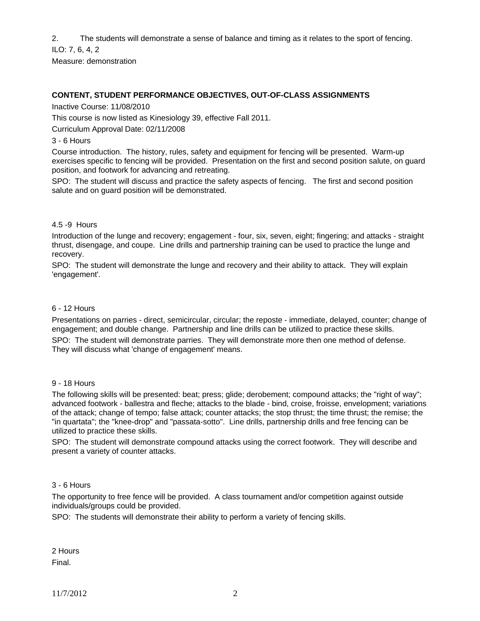2. The students will demonstrate a sense of balance and timing as it relates to the sport of fencing.

ILO: 7, 6, 4, 2

Measure: demonstration

## **CONTENT, STUDENT PERFORMANCE OBJECTIVES, OUT-OF-CLASS ASSIGNMENTS**

Inactive Course: 11/08/2010

This course is now listed as Kinesiology 39, effective Fall 2011.

Curriculum Approval Date: 02/11/2008

#### 3 - 6 Hours

Course introduction. The history, rules, safety and equipment for fencing will be presented. Warm-up exercises specific to fencing will be provided. Presentation on the first and second position salute, on guard position, and footwork for advancing and retreating.

SPO: The student will discuss and practice the safety aspects of fencing. The first and second position salute and on guard position will be demonstrated.

#### 4.5 -9 Hours

Introduction of the lunge and recovery; engagement - four, six, seven, eight; fingering; and attacks - straight thrust, disengage, and coupe. Line drills and partnership training can be used to practice the lunge and recovery.

SPO: The student will demonstrate the lunge and recovery and their ability to attack. They will explain 'engagement'.

#### 6 - 12 Hours

Presentations on parries - direct, semicircular, circular; the reposte - immediate, delayed, counter; change of engagement; and double change. Partnership and line drills can be utilized to practice these skills.

SPO: The student will demonstrate parries. They will demonstrate more then one method of defense. They will discuss what 'change of engagement' means.

#### 9 - 18 Hours

The following skills will be presented: beat; press; glide; derobement; compound attacks; the "right of way"; advanced footwork - ballestra and fleche; attacks to the blade - bind, croise, froisse, envelopment; variations of the attack; change of tempo; false attack; counter attacks; the stop thrust; the time thrust; the remise; the "in quartata"; the "knee-drop" and "passata-sotto". Line drills, partnership drills and free fencing can be utilized to practice these skills.

SPO: The student will demonstrate compound attacks using the correct footwork. They will describe and present a variety of counter attacks.

## 3 - 6 Hours

The opportunity to free fence will be provided. A class tournament and/or competition against outside individuals/groups could be provided.

SPO: The students will demonstrate their ability to perform a variety of fencing skills.

2 Hours Final.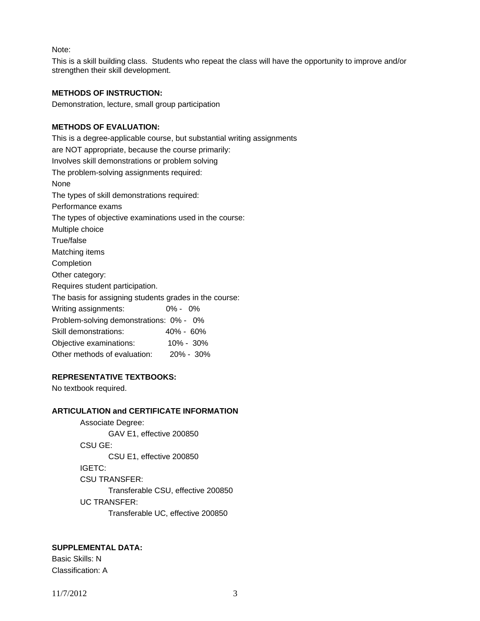Note:

This is a skill building class. Students who repeat the class will have the opportunity to improve and/or strengthen their skill development.

#### **METHODS OF INSTRUCTION:**

Demonstration, lecture, small group participation

## **METHODS OF EVALUATION:**

This is a degree-applicable course, but substantial writing assignments are NOT appropriate, because the course primarily: Involves skill demonstrations or problem solving The problem-solving assignments required: None The types of skill demonstrations required: Performance exams The types of objective examinations used in the course: Multiple choice True/false Matching items **Completion** Other category: Requires student participation. The basis for assigning students grades in the course: Writing assignments: 0% - 0% Problem-solving demonstrations: 0% - 0% Skill demonstrations: 40% - 60% Objective examinations: 10% - 30% Other methods of evaluation: 20% - 30%

## **REPRESENTATIVE TEXTBOOKS:**

No textbook required.

## **ARTICULATION and CERTIFICATE INFORMATION**

 Associate Degree: GAV E1, effective 200850 CSU GE: CSU E1, effective 200850 IGETC: CSU TRANSFER: Transferable CSU, effective 200850 UC TRANSFER: Transferable UC, effective 200850

# **SUPPLEMENTAL DATA:**

Basic Skills: N Classification: A